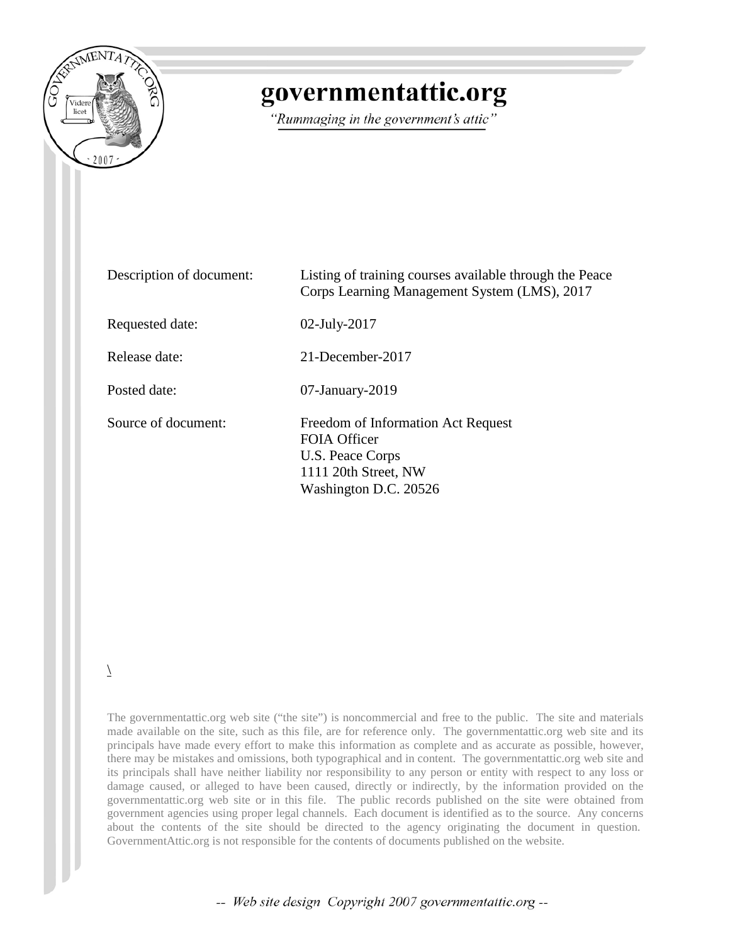

## governmentattic.org

"Rummaging in the government's attic"

| Description of document: | Listing of training courses available through the Peace<br>Corps Learning Management System (LMS), 2017                 |
|--------------------------|-------------------------------------------------------------------------------------------------------------------------|
| Requested date:          | $02$ -July-2017                                                                                                         |
| Release date:            | 21-December-2017                                                                                                        |
| Posted date:             | $07$ -January-2019                                                                                                      |
| Source of document:      | Freedom of Information Act Request<br>FOIA Officer<br>U.S. Peace Corps<br>1111 20th Street, NW<br>Washington D.C. 20526 |

 $\setminus$ 

The governmentattic.org web site ("the site") is noncommercial and free to the public. The site and materials made available on the site, such as this file, are for reference only. The governmentattic.org web site and its principals have made every effort to make this information as complete and as accurate as possible, however, there may be mistakes and omissions, both typographical and in content. The governmentattic.org web site and its principals shall have neither liability nor responsibility to any person or entity with respect to any loss or damage caused, or alleged to have been caused, directly or indirectly, by the information provided on the governmentattic.org web site or in this file. The public records published on the site were obtained from government agencies using proper legal channels. Each document is identified as to the source. Any concerns about the contents of the site should be directed to the agency originating the document in question. GovernmentAttic.org is not responsible for the contents of documents published on the website.

-- Web site design Copyright 2007 governmentattic.org --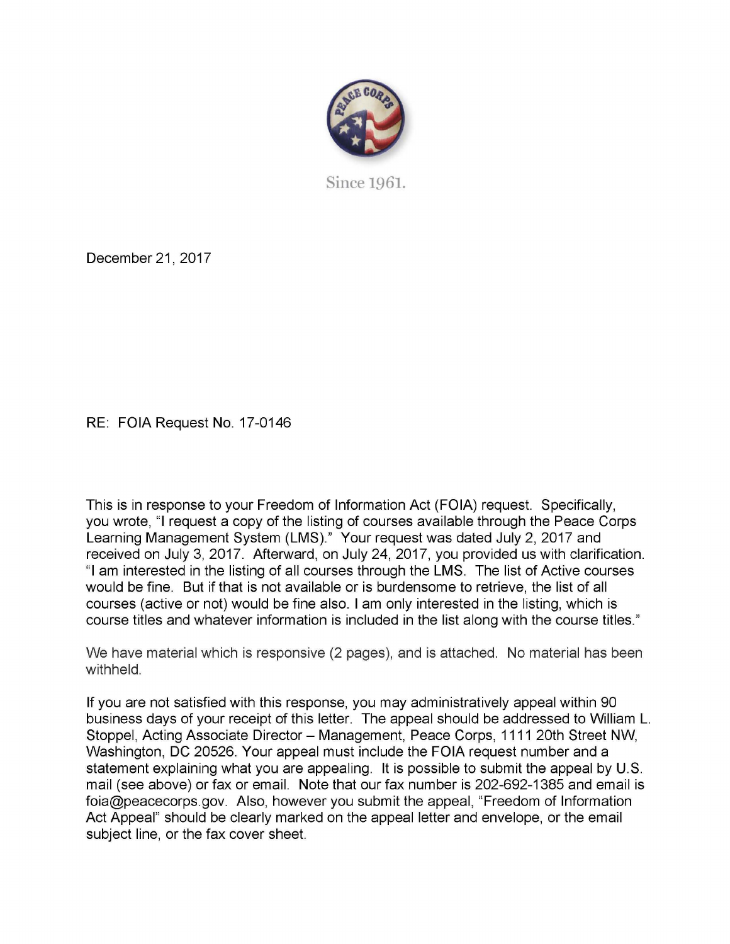

Since 1961.

December 21, 2017

RE: FOIA Request No. 17-0146

This is in response to your Freedom of Information Act (FOIA) request. Specifically, you wrote, "I request a copy of the listing of courses available through the Peace Corps Learning Management System (LMS)." Your request was dated July 2, 2017 and received on July 3, 2017. Afterward, on July 24, 2017, you provided us with clarification. "I am interested in the listing of all courses through the LMS. The list of Active courses would be fine. But if that is not available or is burdensome to retrieve, the list of all courses (active or not) would be fine also. I am only interested in the listing, which is course titles and whatever information is included in the list along with the course titles."

We have material which is responsive (2 pages), and is attached. No material has been withheld.

If you are not satisfied with this response, you may administratively appeal within 90 business days of your receipt of this letter. The appeal should be addressed to William L. Stoppel, Acting Associate Director - Management, Peace Corps, 1111 20th Street NW, Washington, DC 20526. Your appeal must include the FOIA request number and a statement explaining what you are appealing. It is possible to submit the appeal by U.S. mail (see above) or fax or email. Note that our fax number is 202-692-1385 and email is foia@peacecorps.gov. Also, however you submit the appeal, "Freedom of Information Act Appeal" should be clearly marked on the appeal letter and envelope, or the email subject line, or the fax cover sheet.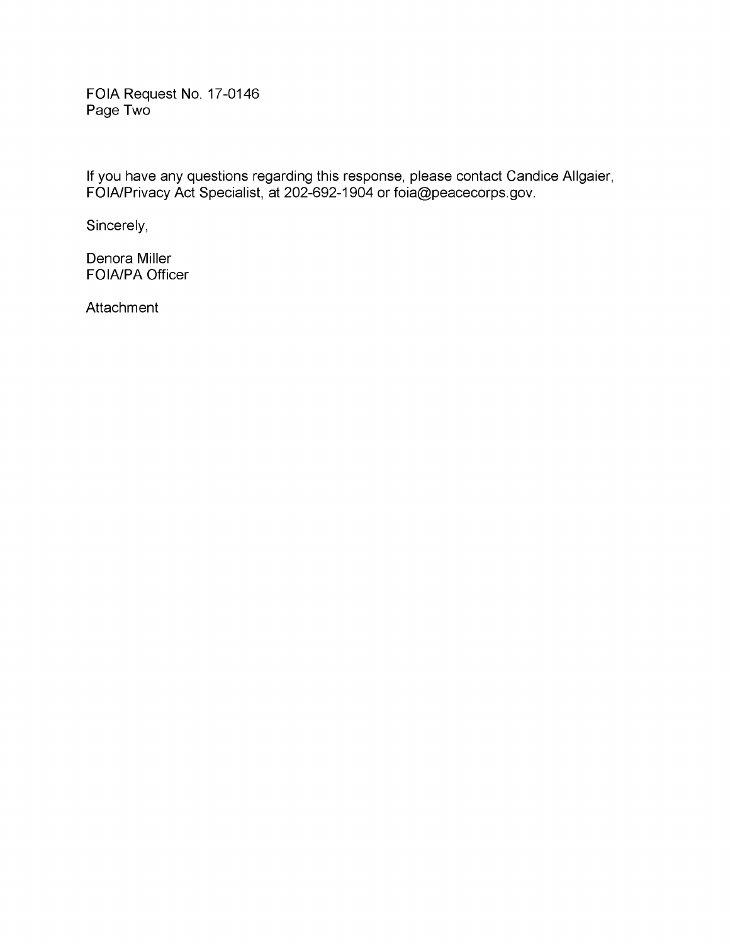FOIA Request No. 17-0146 Page Two

If you have any questions regarding this response, please contact Candice Allgaier, FOIA/Privacy Act Specialist, at 202-692-1904 or foia@peacecorps.gov.

Sincerely,

Denora Miller FOIA/PA Officer

**Attachment**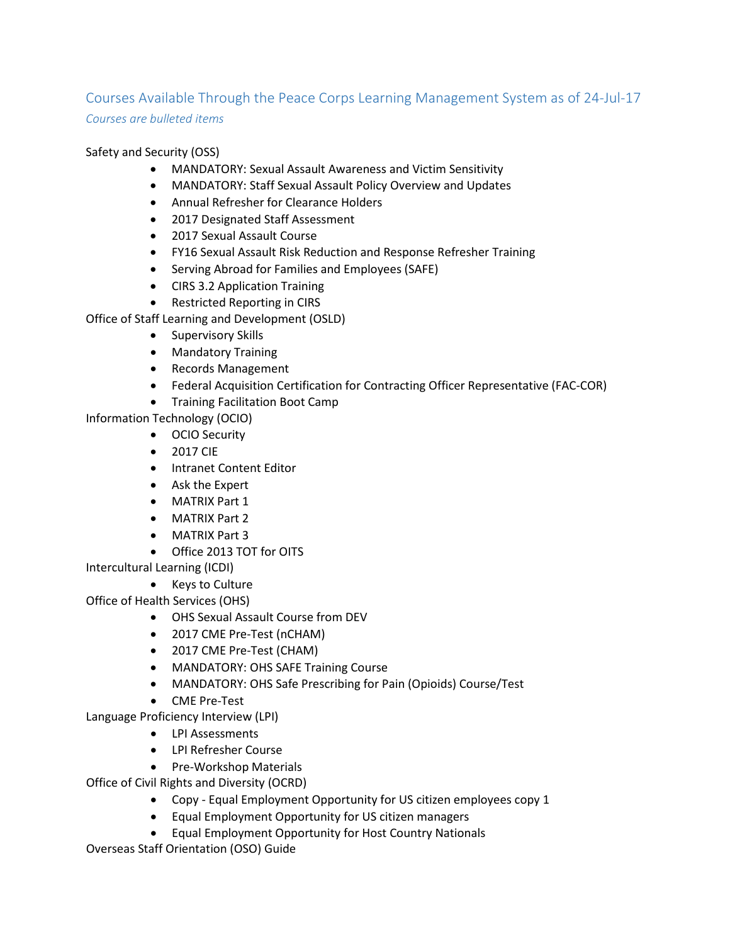## Courses Available Through the Peace Corps Learning Management System as of 24-Jul-17 *Courses are bulleted items*

## Safety and Security (OSS)

- MANDATORY: Sexual Assault Awareness and Victim Sensitivity
- MANDATORY: Staff Sexual Assault Policy Overview and Updates
- Annual Refresher for Clearance Holders
- 2017 Designated Staff Assessment
- 2017 Sexual Assault Course
- FY16 Sexual Assault Risk Reduction and Response Refresher Training
- Serving Abroad for Families and Employees (SAFE)
- CIRS 3.2 Application Training
- Restricted Reporting in CIRS

Office of Staff Learning and Development (OSLD)

- Supervisory Skills
- Mandatory Training
- Records Management
- Federal Acquisition Certification for Contracting Officer Representative (FAC-COR)
- Training Facilitation Boot Camp

Information Technology (OCIO)

- OCIO Security
- 2017 CIE
- Intranet Content Editor
- Ask the Expert
- MATRIX Part 1
- MATRIX Part 2
- MATRIX Part 3
- Office 2013 TOT for OITS

Intercultural Learning (ICDI)

• Keys to Culture

Office of Health Services (OHS)

- OHS Sexual Assault Course from DEV
- 2017 CME Pre-Test (nCHAM)
- 2017 CME Pre-Test (CHAM)
- MANDATORY: OHS SAFE Training Course
- MANDATORY: OHS Safe Prescribing for Pain (Opioids) Course/Test
- CME Pre-Test

Language Proficiency Interview (LPI)

- LPI Assessments
- LPI Refresher Course
- Pre-Workshop Materials

Office of Civil Rights and Diversity (OCRD)

- Copy Equal Employment Opportunity for US citizen employees copy 1
- Equal Employment Opportunity for US citizen managers
- Equal Employment Opportunity for Host Country Nationals

Overseas Staff Orientation (OSO) Guide